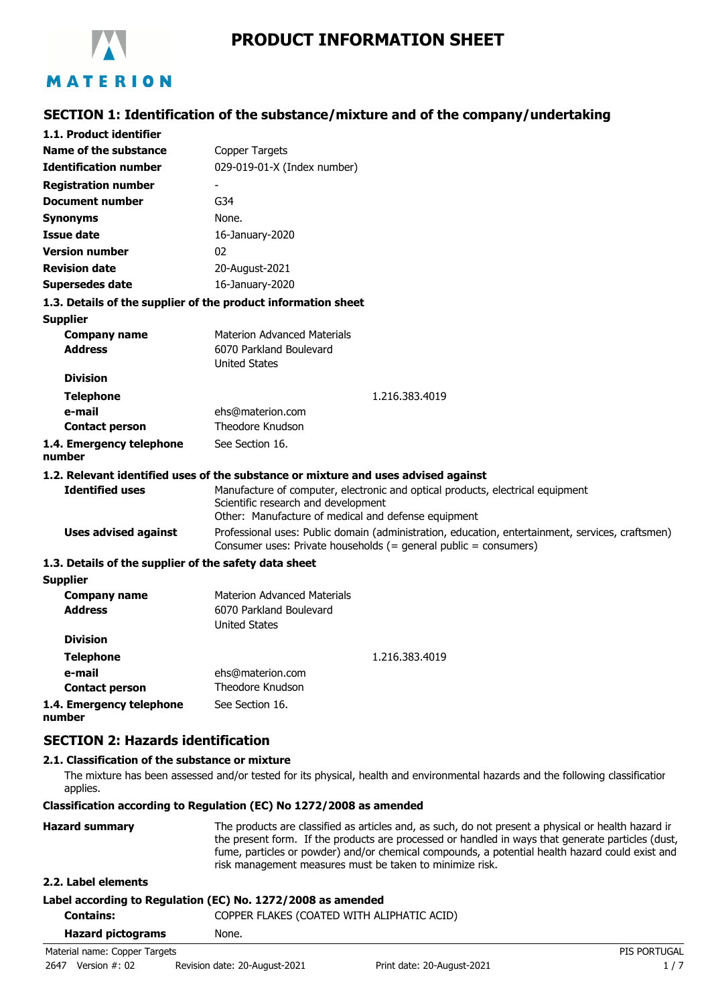

# **SECTION 1: Identification of the substance/mixture and of the company/undertaking**

| 1.1. Product identifier                               |                                                                                                                                                                              |  |  |
|-------------------------------------------------------|------------------------------------------------------------------------------------------------------------------------------------------------------------------------------|--|--|
| Name of the substance                                 | Copper Targets                                                                                                                                                               |  |  |
| <b>Identification number</b>                          | 029-019-01-X (Index number)                                                                                                                                                  |  |  |
| <b>Registration number</b>                            |                                                                                                                                                                              |  |  |
| <b>Document number</b>                                | G34                                                                                                                                                                          |  |  |
| <b>Synonyms</b>                                       | None.                                                                                                                                                                        |  |  |
| <b>Issue date</b>                                     | 16-January-2020                                                                                                                                                              |  |  |
| <b>Version number</b>                                 | 02                                                                                                                                                                           |  |  |
| <b>Revision date</b>                                  | 20-August-2021                                                                                                                                                               |  |  |
| <b>Supersedes date</b>                                | 16-January-2020                                                                                                                                                              |  |  |
|                                                       | 1.3. Details of the supplier of the product information sheet                                                                                                                |  |  |
| <b>Supplier</b>                                       |                                                                                                                                                                              |  |  |
| <b>Company name</b><br><b>Address</b>                 | <b>Materion Advanced Materials</b><br>6070 Parkland Boulevard<br><b>United States</b>                                                                                        |  |  |
| <b>Division</b>                                       |                                                                                                                                                                              |  |  |
| <b>Telephone</b>                                      | 1.216.383.4019                                                                                                                                                               |  |  |
| e-mail                                                | ehs@materion.com                                                                                                                                                             |  |  |
| <b>Contact person</b>                                 | Theodore Knudson                                                                                                                                                             |  |  |
| 1.4. Emergency telephone<br>number                    | See Section 16.                                                                                                                                                              |  |  |
|                                                       | 1.2. Relevant identified uses of the substance or mixture and uses advised against                                                                                           |  |  |
| <b>Identified uses</b>                                | Manufacture of computer, electronic and optical products, electrical equipment<br>Scientific research and development<br>Other: Manufacture of medical and defense equipment |  |  |
| <b>Uses advised against</b>                           | Professional uses: Public domain (administration, education, entertainment, services, craftsmen)<br>Consumer uses: Private households (= general public = consumers)         |  |  |
| 1.3. Details of the supplier of the safety data sheet |                                                                                                                                                                              |  |  |
| <b>Supplier</b>                                       |                                                                                                                                                                              |  |  |
| <b>Company name</b><br><b>Address</b>                 | <b>Materion Advanced Materials</b><br>6070 Parkland Boulevard<br><b>United States</b>                                                                                        |  |  |
| <b>Division</b>                                       |                                                                                                                                                                              |  |  |
| <b>Telephone</b>                                      | 1.216.383.4019                                                                                                                                                               |  |  |
| e-mail                                                | ehs@materion.com                                                                                                                                                             |  |  |
| <b>Contact person</b>                                 | Theodore Knudson                                                                                                                                                             |  |  |
| 1.4. Emergency telephone                              | See Section 16.                                                                                                                                                              |  |  |

**number**

### **SECTION 2: Hazards identification**

### **2.1. Classification of the substance or mixture**

The mixture has been assessed and/or tested for its physical, health and environmental hazards and the following classification applies.

### **Classification according to Regulation (EC) No 1272/2008 as amended**

| <b>Hazard summary</b> | The products are classified as articles and, as such, do not present a physical or health hazard ir                                                                                                                                                              |
|-----------------------|------------------------------------------------------------------------------------------------------------------------------------------------------------------------------------------------------------------------------------------------------------------|
|                       | the present form. If the products are processed or handled in ways that generate particles (dust,<br>fume, particles or powder) and/or chemical compounds, a potential health hazard could exist and<br>risk management measures must be taken to minimize risk. |

### **2.2. Label elements**

### **Label according to Regulation (EC) No. 1272/2008 as amended**

| Contains:                     | COPPER FLAKES (COATED WITH ALIPHATIC ACID) |                     |
|-------------------------------|--------------------------------------------|---------------------|
| <b>Hazard pictograms</b>      | None.                                      |                     |
| Material name: Copper Targets |                                            | <b>PIS PORTUGAL</b> |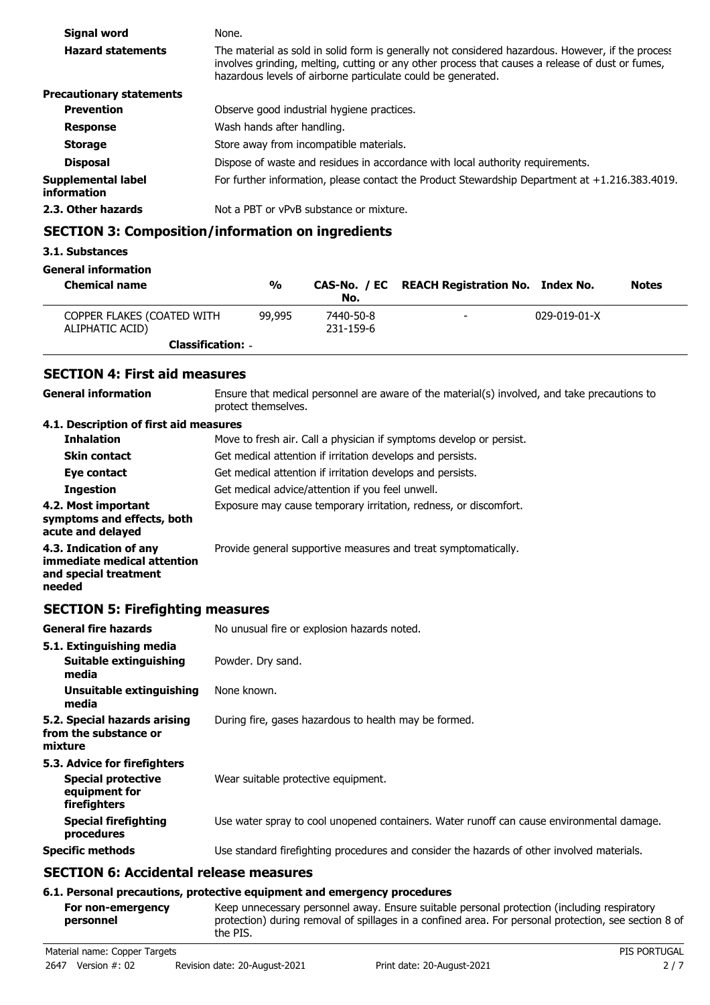| <b>Signal word</b>                | None.                                                                                                                                                                                                                                                                 |
|-----------------------------------|-----------------------------------------------------------------------------------------------------------------------------------------------------------------------------------------------------------------------------------------------------------------------|
| <b>Hazard statements</b>          | The material as sold in solid form is generally not considered hazardous. However, if the process<br>involves grinding, melting, cutting or any other process that causes a release of dust or fumes,<br>hazardous levels of airborne particulate could be generated. |
| <b>Precautionary statements</b>   |                                                                                                                                                                                                                                                                       |
| <b>Prevention</b>                 | Observe good industrial hygiene practices.                                                                                                                                                                                                                            |
| <b>Response</b>                   | Wash hands after handling.                                                                                                                                                                                                                                            |
| <b>Storage</b>                    | Store away from incompatible materials.                                                                                                                                                                                                                               |
| <b>Disposal</b>                   | Dispose of waste and residues in accordance with local authority requirements.                                                                                                                                                                                        |
| Supplemental label<br>information | For further information, please contact the Product Stewardship Department at +1.216.383.4019.                                                                                                                                                                        |
| 2.3. Other hazards                | Not a PBT or vPvB substance or mixture.                                                                                                                                                                                                                               |
|                                   |                                                                                                                                                                                                                                                                       |

# **SECTION 3: Composition/information on ingredients**

#### **3.1. Substances**

**General information**

| <b>Chemical name</b>                          | %      | No.                    | CAS-No. / EC REACH Registration No. Index No. |                      | <b>Notes</b> |
|-----------------------------------------------|--------|------------------------|-----------------------------------------------|----------------------|--------------|
| COPPER FLAKES (COATED WITH<br>ALIPHATIC ACID) | 99,995 | 7440-50-8<br>231-159-6 | $\overline{\phantom{a}}$                      | $029 - 019 - 01 - X$ |              |
| <b>Classification: -</b>                      |        |                        |                                               |                      |              |

### **SECTION 4: First aid measures**

Ensure that medical personnel are aware of the material(s) involved, and take precautions to protect themselves. **General information 4.1. Description of first aid measures Inhalation** Move to fresh air. Call a physician if symptoms develop or persist. **Skin contact Get medical attention if irritation develops and persists. Eye contact** Get medical attention if irritation develops and persists. **Ingestion Get medical advice/attention if you feel unwell. 4.2. Most important** Exposure may cause temporary irritation, redness, or discomfort. **symptoms and effects, both acute and delayed 4.3. Indication of any Provide general supportive measures and treat symptomatically. immediate medical attention and special treatment needed**

### **SECTION 5: Firefighting measures**

| <b>General fire hazards</b>                                                                | No unusual fire or explosion hazards noted.                                                |
|--------------------------------------------------------------------------------------------|--------------------------------------------------------------------------------------------|
| 5.1. Extinguishing media                                                                   |                                                                                            |
| Suitable extinguishing<br>media                                                            | Powder. Dry sand.                                                                          |
| Unsuitable extinguishing<br>media                                                          | None known.                                                                                |
| 5.2. Special hazards arising<br>from the substance or<br>mixture                           | During fire, gases hazardous to health may be formed.                                      |
| 5.3. Advice for firefighters<br><b>Special protective</b><br>equipment for<br>firefighters | Wear suitable protective equipment.                                                        |
| <b>Special firefighting</b><br>procedures                                                  | Use water spray to cool unopened containers. Water runoff can cause environmental damage.  |
| <b>Specific methods</b>                                                                    | Use standard firefighting procedures and consider the hazards of other involved materials. |
|                                                                                            |                                                                                            |

# **SECTION 6: Accidental release measures**

### **6.1. Personal precautions, protective equipment and emergency procedures**

Keep unnecessary personnel away. Ensure suitable personal protection (including respiratory protection) during removal of spillages in a confined area. For personal protection, see section 8 of the PIS. **For non-emergency personnel**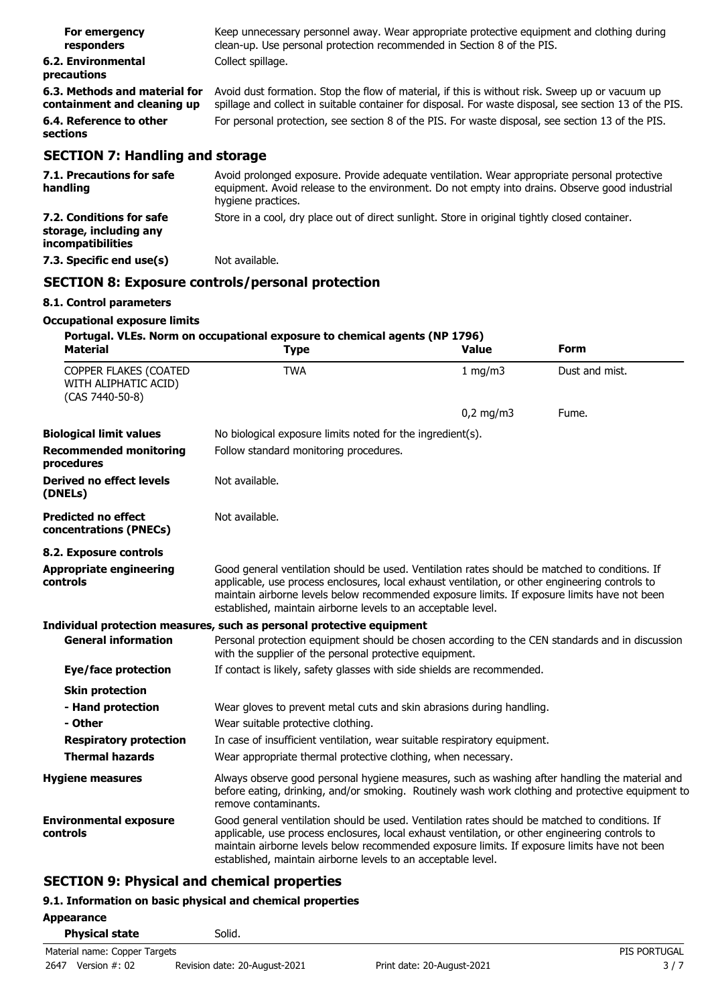| For emergency<br>responders                                  | Keep unnecessary personnel away. Wear appropriate protective equipment and clothing during<br>clean-up. Use personal protection recommended in Section 8 of the PIS.                                       |
|--------------------------------------------------------------|------------------------------------------------------------------------------------------------------------------------------------------------------------------------------------------------------------|
| 6.2. Environmental<br>precautions                            | Collect spillage.                                                                                                                                                                                          |
| 6.3. Methods and material for<br>containment and cleaning up | Avoid dust formation. Stop the flow of material, if this is without risk. Sweep up or vacuum up<br>spillage and collect in suitable container for disposal. For waste disposal, see section 13 of the PIS. |
| 6.4. Reference to other<br>sections                          | For personal protection, see section 8 of the PIS. For waste disposal, see section 13 of the PIS.                                                                                                          |
| <b>SECTION 7: Handling and storage</b>                       |                                                                                                                                                                                                            |
| 71 Drecautions for safe                                      | Avoid prolonged exposure Provide adequate ventilation Wear appropriate personal protective                                                                                                                 |

| 7.1. Precautions for safe<br>handling                                          | Avoid prolonged exposure. Provide adequate ventilation. Wear appropriate personal protective<br>equipment. Avoid release to the environment. Do not empty into drains. Observe good industrial<br>hygiene practices. |
|--------------------------------------------------------------------------------|----------------------------------------------------------------------------------------------------------------------------------------------------------------------------------------------------------------------|
| 7.2. Conditions for safe<br>storage, including any<br><i>incompatibilities</i> | Store in a cool, dry place out of direct sunlight. Store in original tightly closed container.                                                                                                                       |
| 7.3. Specific end use(s)                                                       | Not available.                                                                                                                                                                                                       |

# **SECTION 8: Exposure controls/personal protection**

### **8.1. Control parameters**

### **Occupational exposure limits**

| <b>Material</b>                                                  | Portugal. VLEs. Norm on occupational exposure to chemical agents (NP 1796)<br><b>Type</b>                                                                                                                                                                                                                                                                          | Value       | Form           |  |  |  |
|------------------------------------------------------------------|--------------------------------------------------------------------------------------------------------------------------------------------------------------------------------------------------------------------------------------------------------------------------------------------------------------------------------------------------------------------|-------------|----------------|--|--|--|
| COPPER FLAKES (COATED<br>WITH ALIPHATIC ACID)<br>(CAS 7440-50-8) | <b>TWA</b>                                                                                                                                                                                                                                                                                                                                                         | 1 mg/m3     | Dust and mist. |  |  |  |
|                                                                  |                                                                                                                                                                                                                                                                                                                                                                    | $0,2$ mg/m3 | Fume.          |  |  |  |
| <b>Biological limit values</b>                                   | No biological exposure limits noted for the ingredient(s).                                                                                                                                                                                                                                                                                                         |             |                |  |  |  |
| <b>Recommended monitoring</b><br>procedures                      | Follow standard monitoring procedures.                                                                                                                                                                                                                                                                                                                             |             |                |  |  |  |
| <b>Derived no effect levels</b><br>(DNELs)                       | Not available.                                                                                                                                                                                                                                                                                                                                                     |             |                |  |  |  |
| <b>Predicted no effect</b><br>concentrations (PNECs)             | Not available.                                                                                                                                                                                                                                                                                                                                                     |             |                |  |  |  |
| 8.2. Exposure controls                                           |                                                                                                                                                                                                                                                                                                                                                                    |             |                |  |  |  |
| <b>Appropriate engineering</b><br>controls                       | Good general ventilation should be used. Ventilation rates should be matched to conditions. If<br>applicable, use process enclosures, local exhaust ventilation, or other engineering controls to<br>maintain airborne levels below recommended exposure limits. If exposure limits have not been<br>established, maintain airborne levels to an acceptable level. |             |                |  |  |  |
|                                                                  | Individual protection measures, such as personal protective equipment                                                                                                                                                                                                                                                                                              |             |                |  |  |  |
| <b>General information</b>                                       | Personal protection equipment should be chosen according to the CEN standards and in discussion<br>with the supplier of the personal protective equipment.                                                                                                                                                                                                         |             |                |  |  |  |
| Eye/face protection                                              | If contact is likely, safety glasses with side shields are recommended.                                                                                                                                                                                                                                                                                            |             |                |  |  |  |
| <b>Skin protection</b>                                           |                                                                                                                                                                                                                                                                                                                                                                    |             |                |  |  |  |
| - Hand protection                                                | Wear gloves to prevent metal cuts and skin abrasions during handling.                                                                                                                                                                                                                                                                                              |             |                |  |  |  |
| - Other                                                          | Wear suitable protective clothing.                                                                                                                                                                                                                                                                                                                                 |             |                |  |  |  |
| <b>Respiratory protection</b>                                    | In case of insufficient ventilation, wear suitable respiratory equipment.                                                                                                                                                                                                                                                                                          |             |                |  |  |  |
| <b>Thermal hazards</b>                                           | Wear appropriate thermal protective clothing, when necessary.                                                                                                                                                                                                                                                                                                      |             |                |  |  |  |
| <b>Hygiene measures</b>                                          | Always observe good personal hygiene measures, such as washing after handling the material and<br>before eating, drinking, and/or smoking. Routinely wash work clothing and protective equipment to<br>remove contaminants.                                                                                                                                        |             |                |  |  |  |
| <b>Environmental exposure</b><br>controls                        | Good general ventilation should be used. Ventilation rates should be matched to conditions. If<br>applicable, use process enclosures, local exhaust ventilation, or other engineering controls to<br>maintain airborne levels below recommended exposure limits. If exposure limits have not been<br>established, maintain airborne levels to an acceptable level. |             |                |  |  |  |

# **SECTION 9: Physical and chemical properties**

# **9.1. Information on basic physical and chemical properties**

| <b>Appearance</b> |                               |                               |                            |                     |
|-------------------|-------------------------------|-------------------------------|----------------------------|---------------------|
|                   | <b>Physical state</b>         | Solid.                        |                            |                     |
|                   | Material name: Copper Targets |                               |                            | <b>PIS PORTUGAL</b> |
| 2647              | Version $#: 02$               | Revision date: 20-August-2021 | Print date: 20-August-2021 | 3/7                 |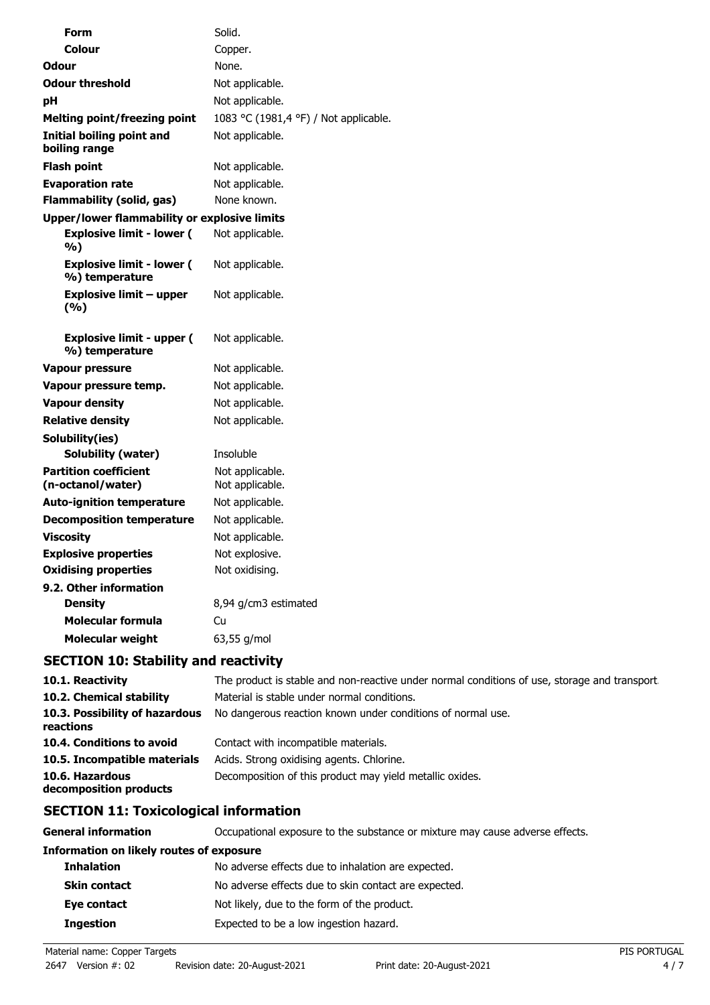| Form                                                | Solid.                                |
|-----------------------------------------------------|---------------------------------------|
| <b>Colour</b>                                       | Copper.                               |
| <b>Odour</b>                                        | None.                                 |
| <b>Odour threshold</b>                              | Not applicable.                       |
| рH                                                  | Not applicable.                       |
| Melting point/freezing point                        | 1083 °C (1981,4 °F) / Not applicable. |
| Initial boiling point and<br>boiling range          | Not applicable.                       |
| <b>Flash point</b>                                  | Not applicable.                       |
| <b>Evaporation rate</b>                             | Not applicable.                       |
| <b>Flammability (solid, gas)</b>                    | None known.                           |
| <b>Upper/lower flammability or explosive limits</b> |                                       |
| <b>Explosive limit - lower (</b><br>%)              | Not applicable.                       |
| <b>Explosive limit - lower (</b><br>%) temperature  | Not applicable.                       |
| Explosive limit – upper<br>(%)                      | Not applicable.                       |
| <b>Explosive limit - upper (</b><br>%) temperature  | Not applicable.                       |
| Vapour pressure                                     | Not applicable.                       |
| Vapour pressure temp.                               | Not applicable.                       |
| <b>Vapour density</b>                               | Not applicable.                       |
| <b>Relative density</b>                             | Not applicable.                       |
| Solubility(ies)                                     |                                       |
| Solubility (water)                                  | Insoluble                             |
| <b>Partition coefficient</b><br>(n-octanol/water)   | Not applicable.<br>Not applicable.    |
| <b>Auto-ignition temperature</b>                    | Not applicable.                       |
| <b>Decomposition temperature</b>                    | Not applicable.                       |
| <b>Viscosity</b>                                    | Not applicable.                       |
| <b>Explosive properties</b>                         | Not explosive.                        |
| <b>Oxidising properties</b>                         | Not oxidising.                        |
| 9.2. Other information                              |                                       |
| <b>Density</b>                                      | 8,94 g/cm3 estimated                  |
| Molecular formula                                   | Cu                                    |
| <b>Molecular weight</b>                             | 63,55 g/mol                           |

# **SECTION 10: Stability and reactivity**

| 10.1. Reactivity                            | The product is stable and non-reactive under normal conditions of use, storage and transport |
|---------------------------------------------|----------------------------------------------------------------------------------------------|
| 10.2. Chemical stability                    | Material is stable under normal conditions.                                                  |
| 10.3. Possibility of hazardous<br>reactions | No dangerous reaction known under conditions of normal use.                                  |
| 10.4. Conditions to avoid                   | Contact with incompatible materials.                                                         |
| 10.5. Incompatible materials                | Acids. Strong oxidising agents. Chlorine.                                                    |
| 10.6. Hazardous<br>decomposition products   | Decomposition of this product may yield metallic oxides.                                     |

# **SECTION 11: Toxicological information**

| General information                      | Occupational exposure to the substance or mixture may cause adverse effects. |
|------------------------------------------|------------------------------------------------------------------------------|
| Information on likely routes of exposure |                                                                              |
| <b>Inhalation</b>                        | No adverse effects due to inhalation are expected.                           |
| <b>Skin contact</b>                      | No adverse effects due to skin contact are expected.                         |
| Eye contact                              | Not likely, due to the form of the product.                                  |
| <b>Ingestion</b>                         | Expected to be a low ingestion hazard.                                       |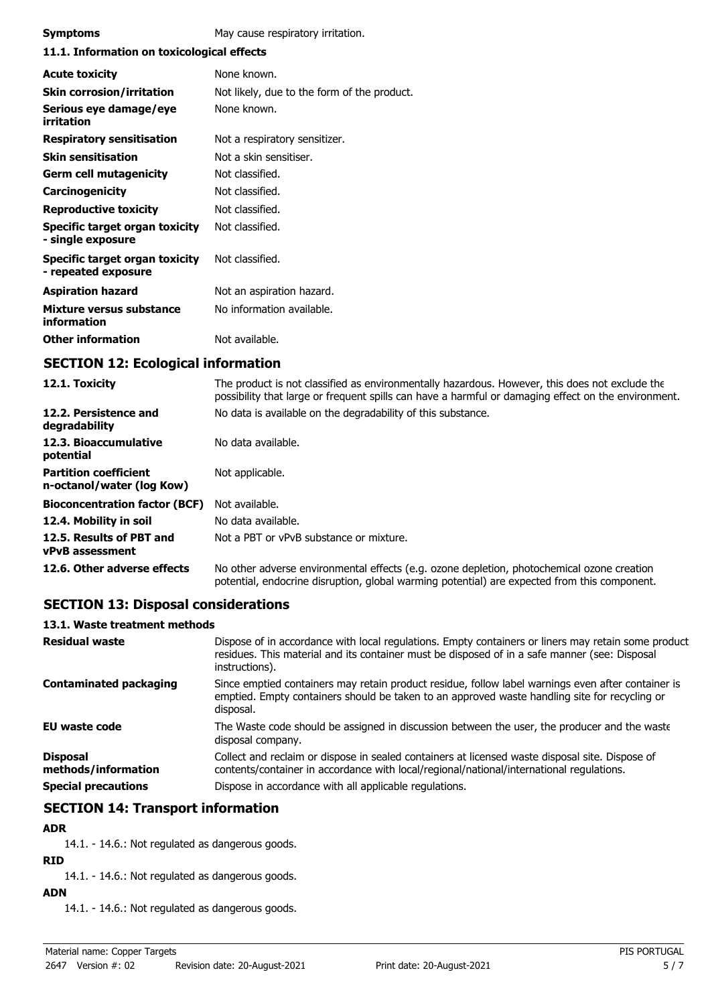| <b>Symptoms</b>                                       | May cause respiratory irritation.           |  |
|-------------------------------------------------------|---------------------------------------------|--|
| 11.1. Information on toxicological effects            |                                             |  |
| <b>Acute toxicity</b>                                 | None known.                                 |  |
| <b>Skin corrosion/irritation</b>                      | Not likely, due to the form of the product. |  |
| Serious eye damage/eye<br>irritation                  | None known.                                 |  |
| <b>Respiratory sensitisation</b>                      | Not a respiratory sensitizer.               |  |
| <b>Skin sensitisation</b>                             | Not a skin sensitiser.                      |  |
| <b>Germ cell mutagenicity</b>                         | Not classified.                             |  |
| Carcinogenicity                                       | Not classified.                             |  |
| <b>Reproductive toxicity</b>                          | Not classified.                             |  |
| Specific target organ toxicity<br>- single exposure   | Not classified.                             |  |
| Specific target organ toxicity<br>- repeated exposure | Not classified.                             |  |
| <b>Aspiration hazard</b>                              | Not an aspiration hazard.                   |  |
| Mixture versus substance<br>information               | No information available.                   |  |
| <b>Other information</b>                              | Not available.                              |  |

# **SECTION 12: Ecological information**

| 12.1. Toxicity                                            | The product is not classified as environmentally hazardous. However, this does not exclude the<br>possibility that large or frequent spills can have a harmful or damaging effect on the environment. |
|-----------------------------------------------------------|-------------------------------------------------------------------------------------------------------------------------------------------------------------------------------------------------------|
| 12.2. Persistence and<br>degradability                    | No data is available on the degradability of this substance.                                                                                                                                          |
| 12.3. Bioaccumulative<br>potential                        | No data available.                                                                                                                                                                                    |
| <b>Partition coefficient</b><br>n-octanol/water (log Kow) | Not applicable.                                                                                                                                                                                       |
| <b>Bioconcentration factor (BCF)</b>                      | Not available.                                                                                                                                                                                        |
| 12.4. Mobility in soil                                    | No data available.                                                                                                                                                                                    |
| 12.5. Results of PBT and<br><b>vPvB</b> assessment        | Not a PBT or vPvB substance or mixture.                                                                                                                                                               |
| 12.6. Other adverse effects                               | No other adverse environmental effects (e.g. ozone depletion, photochemical ozone creation<br>potential, endocrine disruption, global warming potential) are expected from this component.            |

## **SECTION 13: Disposal considerations**

### **13.1. Waste treatment methods**

| <b>Residual waste</b>                                                | Dispose of in accordance with local regulations. Empty containers or liners may retain some product<br>residues. This material and its container must be disposed of in a safe manner (see: Disposal<br>instructions).                                |
|----------------------------------------------------------------------|-------------------------------------------------------------------------------------------------------------------------------------------------------------------------------------------------------------------------------------------------------|
| <b>Contaminated packaging</b>                                        | Since emptied containers may retain product residue, follow label warnings even after container is<br>emptied. Empty containers should be taken to an approved waste handling site for recycling or<br>disposal.                                      |
| <b>EU waste code</b>                                                 | The Waste code should be assigned in discussion between the user, the producer and the waste<br>disposal company.                                                                                                                                     |
| <b>Disposal</b><br>methods/information<br><b>Special precautions</b> | Collect and reclaim or dispose in sealed containers at licensed waste disposal site. Dispose of<br>contents/container in accordance with local/regional/national/international regulations.<br>Dispose in accordance with all applicable regulations. |
|                                                                      |                                                                                                                                                                                                                                                       |

## **SECTION 14: Transport information**

### **ADR**

14.1. - 14.6.: Not regulated as dangerous goods.

## **RID**

14.1. - 14.6.: Not regulated as dangerous goods.

## **ADN**

14.1. - 14.6.: Not regulated as dangerous goods.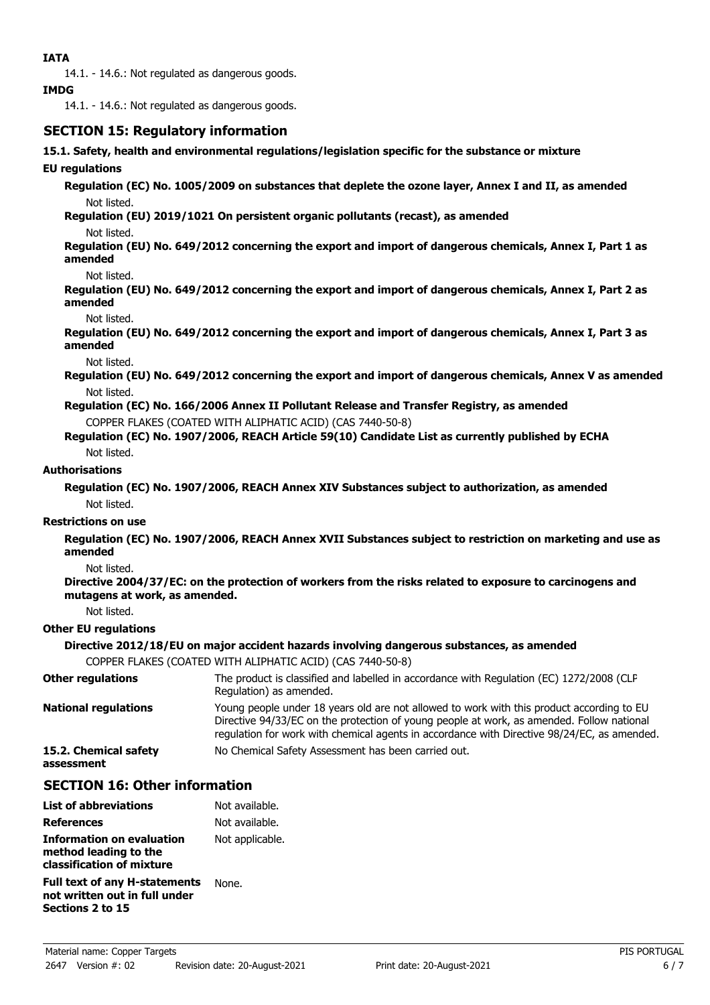14.1. - 14.6.: Not regulated as dangerous goods.

#### **IMDG**

14.1. - 14.6.: Not regulated as dangerous goods.

### **SECTION 15: Regulatory information**

#### **15.1. Safety, health and environmental regulations/legislation specific for the substance or mixture**

#### **EU regulations**

**Regulation (EC) No. 1005/2009 on substances that deplete the ozone layer, Annex I and II, as amended** Not listed.

**Regulation (EU) 2019/1021 On persistent organic pollutants (recast), as amended** Not listed.

**Regulation (EU) No. 649/2012 concerning the export and import of dangerous chemicals, Annex I, Part 1 as amended**

#### Not listed.

**Regulation (EU) No. 649/2012 concerning the export and import of dangerous chemicals, Annex I, Part 2 as amended**

#### Not listed.

**Regulation (EU) No. 649/2012 concerning the export and import of dangerous chemicals, Annex I, Part 3 as amended**

Not listed.

**Regulation (EU) No. 649/2012 concerning the export and import of dangerous chemicals, Annex V as amended** Not listed.

**Regulation (EC) No. 166/2006 Annex II Pollutant Release and Transfer Registry, as amended**

COPPER FLAKES (COATED WITH ALIPHATIC ACID) (CAS 7440-50-8)

**Regulation (EC) No. 1907/2006, REACH Article 59(10) Candidate List as currently published by ECHA** Not listed.

#### **Authorisations**

**Regulation (EC) No. 1907/2006, REACH Annex XIV Substances subject to authorization, as amended** Not listed.

#### **Restrictions on use**

**Regulation (EC) No. 1907/2006, REACH Annex XVII Substances subject to restriction on marketing and use as amended**

Not listed.

**Directive 2004/37/EC: on the protection of workers from the risks related to exposure to carcinogens and mutagens at work, as amended.**

Not listed.

### **Other EU regulations**

### **Directive 2012/18/EU on major accident hazards involving dangerous substances, as amended**

COPPER FLAKES (COATED WITH ALIPHATIC ACID) (CAS 7440-50-8)

| <b>Other regulations</b>            | The product is classified and labelled in accordance with Regulation (EC) 1272/2008 (CLP<br>Regulation) as amended.                                                                                                                                                                   |
|-------------------------------------|---------------------------------------------------------------------------------------------------------------------------------------------------------------------------------------------------------------------------------------------------------------------------------------|
| <b>National regulations</b>         | Young people under 18 years old are not allowed to work with this product according to EU<br>Directive 94/33/EC on the protection of young people at work, as amended. Follow national<br>requlation for work with chemical agents in accordance with Directive 98/24/EC, as amended. |
| 15.2. Chemical safety<br>assessment | No Chemical Safety Assessment has been carried out.                                                                                                                                                                                                                                   |

### **SECTION 16: Other information**

| <b>List of abbreviations</b>                                                              | Not available.  |
|-------------------------------------------------------------------------------------------|-----------------|
| <b>References</b>                                                                         | Not available.  |
| Information on evaluation<br>method leading to the<br>classification of mixture           | Not applicable. |
| <b>Full text of any H-statements</b><br>not written out in full under<br>Sections 2 to 15 | None.           |